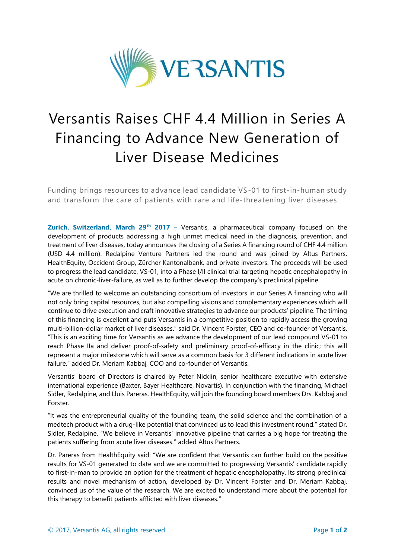

# Versantis Raises CHF 4.4 Million in Series A Financing to Advance New Generation of Liver Disease Medicines

Funding brings resources to advance lead candidate VS-01 to first-in-human study and transform the care of patients with rare and life-threatening liver diseases.

**Zurich, Switzerland, March 29<sup>th</sup> 2017** – Versantis, a pharmaceutical company focused on the development of products addressing a high unmet medical need in the diagnosis, prevention, and treatment of liver diseases, today announces the closing of a Series A financing round of CHF 4.4 million (USD 4.4 million). Redalpine Venture Partners led the round and was joined by Altus Partners, HealthEquity, Occident Group, Zürcher Kantonalbank, and private investors. The proceeds will be used to progress the lead candidate, VS-01, into a Phase I/II clinical trial targeting hepatic encephalopathy in acute on chronic-liver-failure, as well as to further develop the company's preclinical pipeline.

"We are thrilled to welcome an outstanding consortium of investors in our Series A financing who will not only bring capital resources, but also compelling visions and complementary experiences which will continue to drive execution and craft innovative strategies to advance our products' pipeline. The timing of this financing is excellent and puts Versantis in a competitive position to rapidly access the growing multi-billion-dollar market of liver diseases." said Dr. Vincent Forster, CEO and co-founder of Versantis. "This is an exciting time for Versantis as we advance the development of our lead compound VS-01 to reach Phase IIa and deliver proof-of-safety and preliminary proof-of-efficacy in the clinic; this will represent a major milestone which will serve as a common basis for 3 different indications in acute liver failure." added Dr. Meriam Kabbaj, COO and co-founder of Versantis.

Versantis' board of Directors is chaired by Peter Nicklin, senior healthcare executive with extensive international experience (Baxter, Bayer Healthcare, Novartis). In conjunction with the financing, Michael Sidler, Redalpine, and Lluis Pareras, HealthEquity, will join the founding board members Drs. Kabbaj and Forster.

"It was the entrepreneurial quality of the founding team, the solid science and the combination of a medtech product with a drug-like potential that convinced us to lead this investment round." stated Dr. Sidler, Redalpine. "We believe in Versantis' innovative pipeline that carries a big hope for treating the patients suffering from acute liver diseases." added Altus Partners.

Dr. Pareras from HealthEquity said: "We are confident that Versantis can further build on the positive results for VS-01 generated to date and we are committed to progressing Versantis' candidate rapidly to first-in-man to provide an option for the treatment of hepatic encephalopathy. Its strong preclinical results and novel mechanism of action, developed by Dr. Vincent Forster and Dr. Meriam Kabbaj, convinced us of the value of the research. We are excited to understand more about the potential for this therapy to benefit patients afflicted with liver diseases."